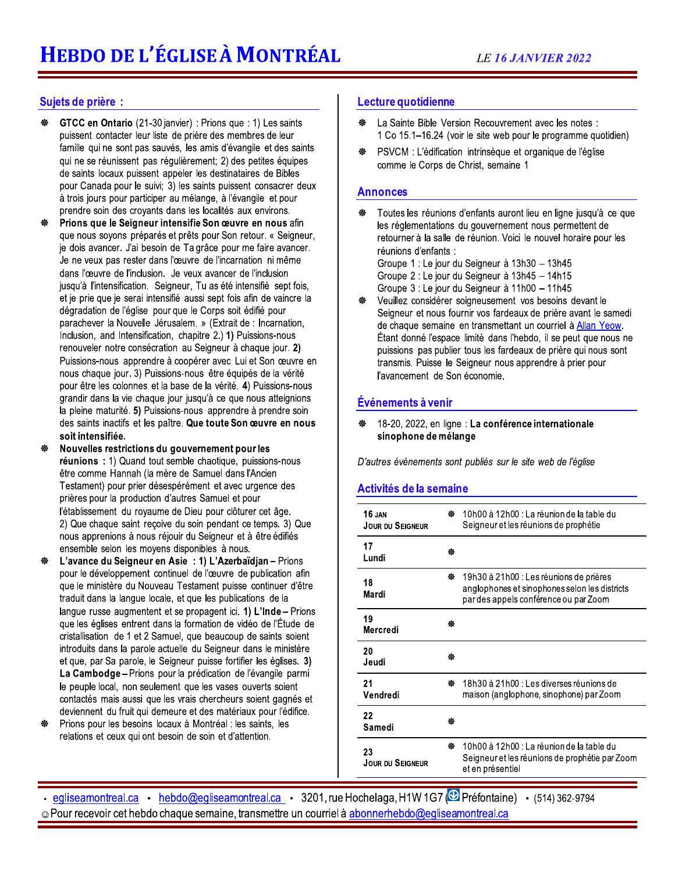### Sujets de prière :

- GTCC en Ontario (21-30 janvier) : Prions que : 1) Les saints puissent contacter leur liste de prière des membres de leur famille qui ne sont pas sauvés, les amis d'évangile et des saints qui ne se réunissent pas régulièrement; 2) des petites équipes de saints locaux puissent appeler les destinataires de Bibles pour Canada pour le suivi; 3) les saints puissent consacrer deux à trois jours pour participer au mélange, à l'évangile et pour prendre soin des croyants dans les localités aux environs.
- 44 Prions que le Seigneur intensifie Son œuvre en nous afin que nous soyons préparés et prêts pour Son retour. « Seigneur, je dois avancer. J'ai besoin de Ta grâce pour me faire avancer. Je ne veux pas rester dans l'œuvre de l'incarnation ni même dans l'œuvre de l'inclusion. Je veux avancer de l'inclusion jusqu'à l'intensification. Seigneur, Tu as été intensifié sept fois, et je prie que je serai intensifié aussi sept fois afin de vaincre la dégradation de l'église pour que le Corps soit édifié pour parachever la Nouvelle Jérusalem. » (Extrait de : Incarnation. Inclusion, and Intensification, chapitre 2.) 1) Puissions-nous renouveler notre consécration au Seigneur à chaque jour. 2) Puissions-nous apprendre à coopérer avec Lui et Son œuvre en nous chaque jour. 3) Puissions-nous être équipés de la vérité pour être les colonnes et la base de la vérité. 4) Puissions-nous grandir dans la vie chaque jour jusqu'à ce que nous atteignions la pleine maturité. 5) Puissions-nous apprendre à prendre soin des saints inactifs et les paître. Que toute Son œuvre en nous soit intensifiée.
- Nouvelles restrictions du gouvernement pour les réunions : 1) Quand tout semble chaotique, puissions-nous être comme Hannah (la mère de Samuel dans l'Ancien Testament) pour prier désespérément et avec urgence des prières pour la production d'autres Samuel et pour l'établissement du royaume de Dieu pour clôturer cet âge. 2) Que chaque saint recoive du soin pendant ce temps. 3) Que nous apprenions à nous réjouir du Seigneur et à être édifiés ensemble selon les moyens disponibles à nous.
- L'avance du Seigneur en Asie : 1) L'Azerbaïdian Prions pour le développement continuel de l'œuvre de publication afin que le ministère du Nouveau Testament puisse continuer d'être traduit dans la langue locale, et que les publications de la langue russe augmentent et se propagent ici. 1) L'Inde - Prions que les églises entrent dans la formation de vidéo de l'Étude de cristallisation de 1 et 2 Samuel, que beaucoup de saints soient introduits dans la parole actuelle du Seigneur dans le ministère et que, par Sa parole, le Seigneur puisse fortifier les églises. 3) La Cambodge - Prions pour la prédication de l'évangile parmi le peuple local, non seulement que les vases ouverts soient contactés mais aussi que les vrais chercheurs soient gagnés et deviennent du fruit qui demeure et des matériaux pour l'édifice.
- Prions pour les besoins locaux à Montréal : les saints, les relations et ceux qui ont besoin de soin et d'attention.

### Lecture quotidienne

- La Sainte Bible Version Recouvrement avec les notes : ₩ 1 Co 15.1-16.24 (voir le site web pour le programme quotidien)
- PSVCM : L'édification intrinsèque et organique de l'église comme le Corps de Christ, semaine 1

#### **Annonces**

- Toutes les réunions d'enfants auront lieu en ligne jusqu'à ce que ₩ les réglementations du gouvernement nous permettent de retourner à la salle de réunion. Voici le nouvel horaire pour les réunions d'enfants : Groupe 1 : Le jour du Seigneur à 13h30 - 13h45 Groupe 2 : Le jour du Seigneur à 13h45 - 14h15
	- Groupe 3 : Le jour du Seigneur à 11h00 11h45
- Veuillez considérer soigneusement vos besoins devant le 僗 Seigneur et nous fournir vos fardeaux de prière avant le samedi de chaque semaine en transmettant un courriel à Allan Yeow. Étant donné l'espace limité dans l'hebdo, il se peut que nous ne puissions pas publier tous les fardeaux de prière qui nous sont transmis. Puisse le Seigneur nous apprendre à prier pour l'avancement de Son économie.

#### Événements à venir

18-20, 2022, en ligne : La conférence internationale ₩ sinophone de mélange

D'autres événements sont publiés sur le site web de l'église

#### Activités de la semaine

| 16 JAN<br>JOUR DU SEIGNEUR    | 僗 | 10h00 à 12h00 : La réunion de la table du<br>Seigneur et les réunions de prophétie                                                |
|-------------------------------|---|-----------------------------------------------------------------------------------------------------------------------------------|
| 17<br>Lundi                   | 磜 |                                                                                                                                   |
| 18<br>Mardi                   | 巒 | 19h30 à 21h00 : Les réunions de prières<br>anglophones et sinophones selon les districts<br>par des appels conférence ou par Zoom |
| 19<br>Mercredi                | 鵺 |                                                                                                                                   |
| 20<br>Jeudi                   | 器 |                                                                                                                                   |
| 21<br>Vendredi                | 橃 | 18h30 à 21h00 : Les diverses réunions de<br>maison (anglophone, sinophone) par Zoom                                               |
| 22<br>Samedi                  |   |                                                                                                                                   |
| 23<br><b>JOUR DU SEIGNEUR</b> | 齤 | 10h00 à 12h00 : La réunion de la table du<br>Seigneur et les réunions de prophétie par Zoom<br>et en présentiel                   |

· egliseamontreal.ca · hebdo@egliseamontreal.ca · 3201, rue Hochelaga, H1W 1G7 @ Préfontaine) · (514) 362-9794 Pour recevoir cet hebdo chaque semaine, transmettre un courriel à abonnerhebdo@egliseamontreal.ca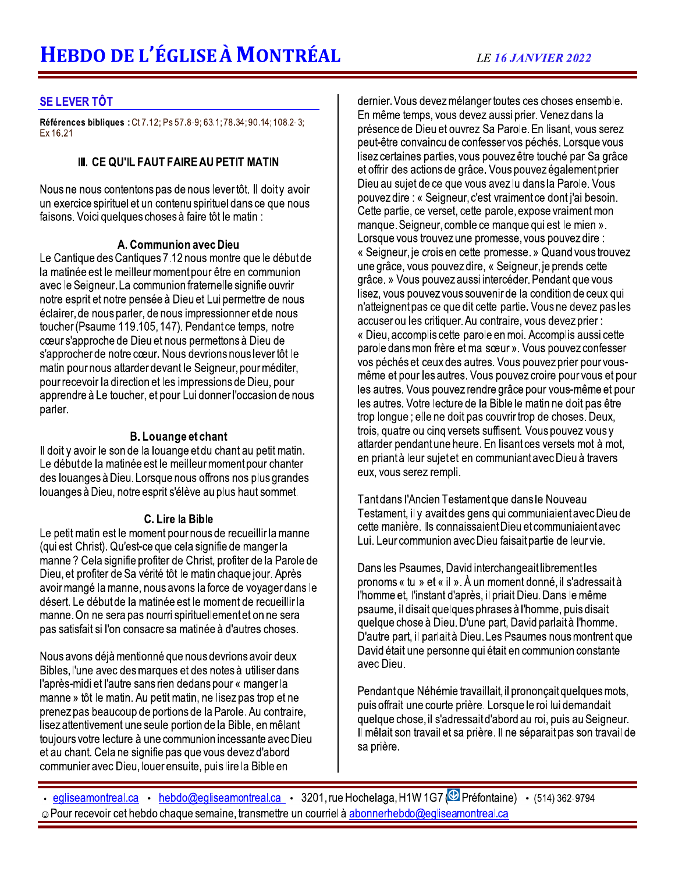# **SE LEVER TÔT**

Références bibliques : Ct 7.12; Ps 57.8-9; 63.1; 78.34; 90.14; 108.2-3; Ex 16.21

# III. CE QU'IL FAUT FAIRE AU PETIT MATIN

Nous ne nous contentons pas de nous lever tôt. Il doity avoir un exercice spirituel et un contenu spirituel dans ce que nous faisons. Voici quelques choses à faire tôt le matin :

## A. Communion avec Dieu

Le Cantique des Cantiques 7.12 nous montre que le début de la matinée est le meilleur moment pour être en communion avec le Seigneur. La communion fraternelle signifie ouvrir notre esprit et notre pensée à Dieu et Lui permettre de nous éclairer, de nous parler, de nous impressionner et de nous toucher (Psaume 119.105, 147). Pendant ce temps, notre cœur s'approche de Dieu et nous permettons à Dieu de s'approcher de notre cœur. Nous devrions nous lever tôt le matin pour nous attarder devant le Seigneur, pour méditer, pour recevoir la direction et les impressions de Dieu, pour apprendre à Le toucher, et pour Lui donner l'occasion de nous parler.

# **B.** Louange et chant

Il doit y avoir le son de la louange et du chant au petit matin. Le début de la matinée est le meilleur moment pour chanter des louanges à Dieu. Lorsque nous offrons nos plus grandes louanges à Dieu, notre esprit s'élève au plus haut sommet.

### C. Lire la Bible

Le petit matin est le moment pour nous de recueillir la manne (qui est Christ). Qu'est-ce que cela signifie de manger la manne? Cela signifie profiter de Christ, profiter de la Parole de Dieu, et profiter de Sa vérité tôt le matin chaque jour. Après avoir mangé la manne, nous avons la force de voyager dans le désert. Le début de la matinée est le moment de recueillir la manne. On ne sera pas nourri spirituellement et on ne sera pas satisfait si l'on consacre sa matinée à d'autres choses.

Nous avons déjà mentionné que nous devrions avoir deux Bibles, l'une avec des marques et des notes à utiliser dans l'après-midi et l'autre sans rien dedans pour « manger la manne » tôt le matin. Au petit matin, ne lisez pas trop et ne prenez pas beaucoup de portions de la Parole. Au contraire, lisez attentivement une seule portion de la Bible, en mêlant toujours votre lecture à une communion incessante avec Dieu et au chant. Cela ne signifie pas que vous devez d'abord communier avec Dieu, louer ensuite, puis lire la Bible en

dernier. Vous devez mélanger toutes ces choses ensemble. En même temps, vous devez aussi prier. Venez dans la présence de Dieu et ouvrez Sa Parole. En lisant, vous serez peut-être convaincu de confesser vos péchés. Lorsque vous lisez certaines parties, vous pouvez être touché par Sa grâce et offrir des actions de grâce. Vous pouvez également prier Dieu au sujet de ce que vous avez lu dans la Parole. Vous pouvez dire : « Seigneur, c'est vraiment ce dont i'ai besoin. Cette partie, ce verset, cette parole, expose vraiment mon manque. Seigneur, comble ce manque qui est le mien ». Lorsque vous trouvez une promesse, vous pouvez dire : « Seigneur, je crois en cette promesse. » Quand vous trouvez une grâce, vous pouvez dire, « Seigneur, je prends cette grâce. » Vous pouvez aussi intercéder. Pendant que vous lisez, vous pouvez vous souvenir de la condition de ceux qui n'atteignent pas ce que dit cette partie. Vous ne devez pas les accuser ou les critiquer. Au contraire, vous devez prier : « Dieu, accomplis cette parole en moi, Accomplis aussi cette parole dans mon frère et ma sœur ». Vous pouvez confesser vos péchés et ceux des autres. Vous pouvez prier pour vousmême et pour les autres. Vous pouvez croire pour vous et pour les autres. Vous pouvez rendre grâce pour vous-même et pour les autres. Votre lecture de la Bible le matin ne doit pas être trop longue; elle ne doit pas couvrir trop de choses. Deux, trois, quatre ou cinq versets suffisent. Vous pouvez vous y attarder pendant une heure. En lisant ces versets mot à mot, en priantà leur sujetet en communiantavec Dieu à travers eux, vous serez rempli.

Tantdans l'Ancien Testament que dans le Nouveau Testament, il y avait des gens qui communiaient avec Dieu de cette manière. Ils connaissaient Dieu et communiaient avec Lui. Leur communion avec Dieu faisait partie de leur vie.

Dans les Psaumes, David interchangeait librement les pronoms « tu » et « il ». À un moment donné, il s'adressait à l'homme et. l'instant d'après, il priait Dieu. Dans le même psaume, il disait quelques phrases à l'homme, puis disait quelque chose à Dieu. D'une part, David parlait à l'homme. D'autre part, il parlaità Dieu. Les Psaumes nous montrent que David était une personne qui était en communion constante avec Dieu.

Pendant que Néhémie travaillait, il prononçait quelques mots, puis offrait une courte prière. Lorsque le roi lui demandait quelque chose, il s'adressait d'abord au roi, puis au Seigneur. Il mêlait son travail et sa prière. Il ne séparait pas son travail de sa prière.

· egliseamontreal.ca · hebdo@egliseamontreal.ca · 3201, rue Hochelaga, H1W 1G7 @ Préfontaine) · (514) 362-9794 © Pour recevoir cet hebdo chaque semaine, transmettre un courriel à abonnerhebdo@egliseamontreal.ca